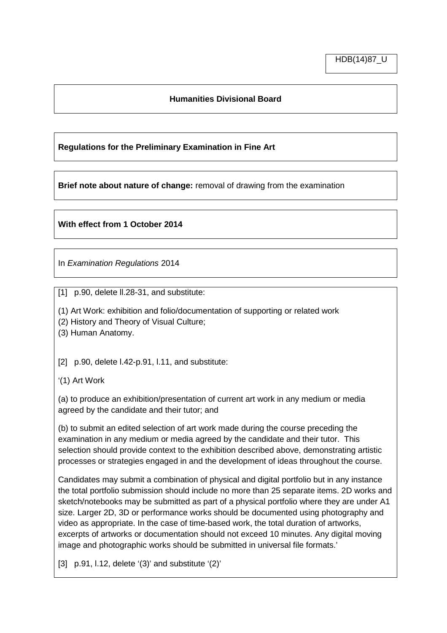## **Humanities Divisional Board**

## **Regulations for the Preliminary Examination in Fine Art**

**Brief note about nature of change:** removal of drawing from the examination

## **With effect from 1 October 2014**

In *Examination Regulations* 2014

[1] p.90, delete II.28-31, and substitute:

(1) Art Work: exhibition and folio/documentation of supporting or related work

(2) History and Theory of Visual Culture;

(3) Human Anatomy.

[2] p.90, delete l.42-p.91, l.11, and substitute:

'(1) Art Work

(a) to produce an exhibition/presentation of current art work in any medium or media agreed by the candidate and their tutor; and

(b) to submit an edited selection of art work made during the course preceding the examination in any medium or media agreed by the candidate and their tutor. This selection should provide context to the exhibition described above, demonstrating artistic processes or strategies engaged in and the development of ideas throughout the course.

Candidates may submit a combination of physical and digital portfolio but in any instance the total portfolio submission should include no more than 25 separate items. 2D works and sketch/notebooks may be submitted as part of a physical portfolio where they are under A1 size. Larger 2D, 3D or performance works should be documented using photography and video as appropriate. In the case of time-based work, the total duration of artworks, excerpts of artworks or documentation should not exceed 10 minutes. Any digital moving image and photographic works should be submitted in universal file formats.'

[3] p.91, l.12, delete '(3)' and substitute '(2)'